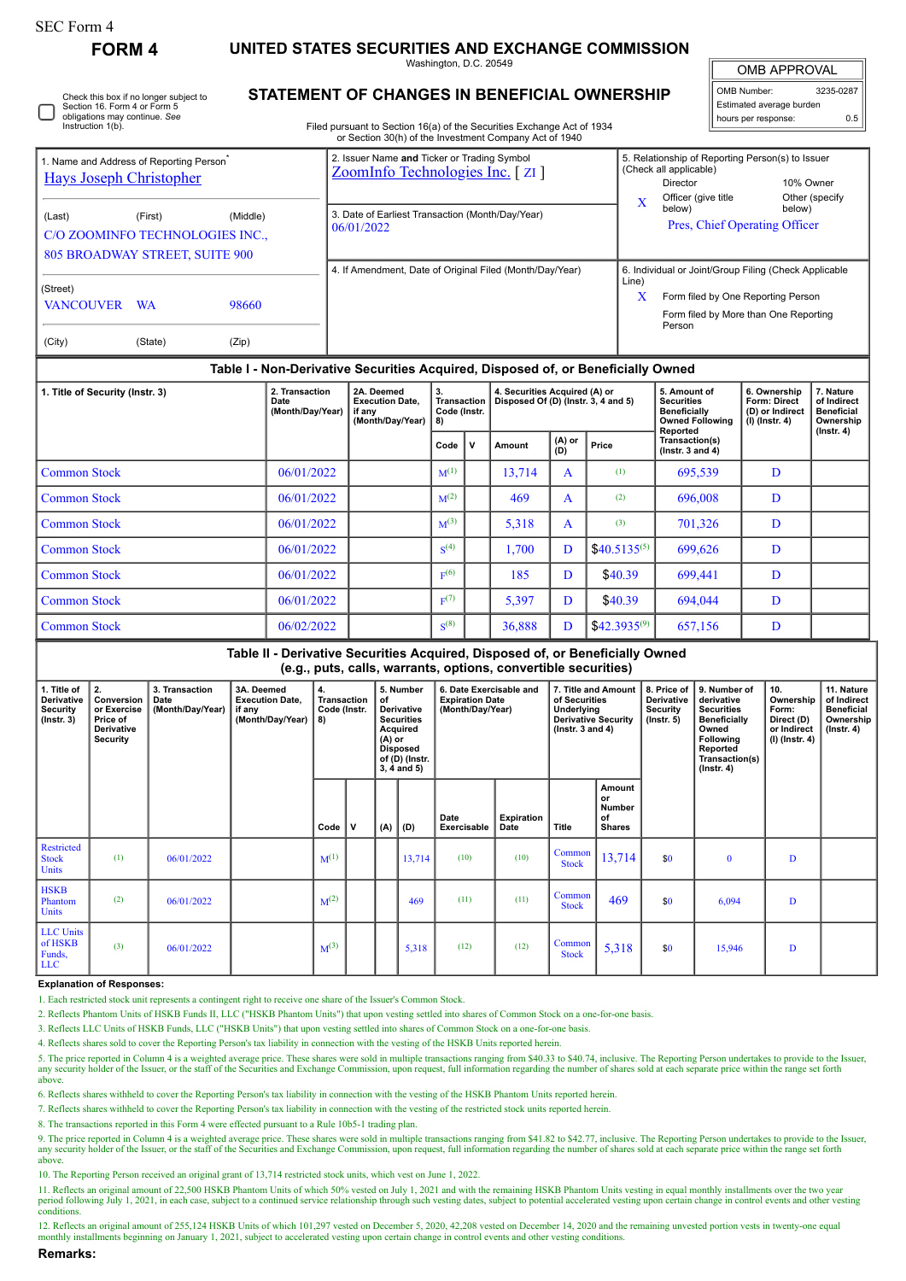| orm |  |
|-----|--|
|-----|--|

Check this box if no longer subject to

**FORM 4 UNITED STATES SECURITIES AND EXCHANGE COMMISSION**

Washington, D.C. 20549 **STATEMENT OF CHANGES IN BENEFICIAL OWNERSHIP**

OMB APPROVAL OMB Number: 3235-0287 Estimated average burden  $0.5$ 

| Section 16, Form 4 or Form 5<br>obligations may continue. See<br>Instruction 1(b).               | Filed pursuant to Section 16(a) of the Securities Exchange Act of 1934<br>or Section 30(h) of the Investment Company Act of 1940 |                                                           | Estimated average burden<br>hours per response:                                                                                      |  |
|--------------------------------------------------------------------------------------------------|----------------------------------------------------------------------------------------------------------------------------------|-----------------------------------------------------------|--------------------------------------------------------------------------------------------------------------------------------------|--|
| 1. Name and Address of Reporting Person <sup>®</sup><br><b>Hays Joseph Christopher</b>           | 2. Issuer Name and Ticker or Trading Symbol<br>ZoomInfo Technologies Inc. [ ZI ]                                                 | (Check all applicable)<br>Director<br>Officer (give title | 5. Relationship of Reporting Person(s) to Issuer<br>10% Owner<br>Other (specify                                                      |  |
| (Middle)<br>(Last)<br>(First)<br>C/O ZOOMINFO TECHNOLOGIES INC<br>805 BROADWAY STREET, SUITE 900 | 3. Date of Earliest Transaction (Month/Day/Year)<br>06/01/2022                                                                   | X<br>below)                                               | below)<br>Pres, Chief Operating Officer                                                                                              |  |
| (Street)<br><b>VANCOUVER</b><br>98660<br><b>WA</b>                                               | 4. If Amendment, Date of Original Filed (Month/Day/Year)                                                                         | Line)<br>X<br>Person                                      | 6. Individual or Joint/Group Filing (Check Applicable<br>Form filed by One Reporting Person<br>Form filed by More than One Reporting |  |

| (City) | (State) | (Zip) |
|--------|---------|-------|

| Table I - Non-Derivative Securities Acquired, Disposed of, or Beneficially Owned |                                            |                                                                    |                                                |   |                                                                      |               |                   |                                                                                         |                                                                   |                                                                                |  |
|----------------------------------------------------------------------------------|--------------------------------------------|--------------------------------------------------------------------|------------------------------------------------|---|----------------------------------------------------------------------|---------------|-------------------|-----------------------------------------------------------------------------------------|-------------------------------------------------------------------|--------------------------------------------------------------------------------|--|
| 1. Title of Security (Instr. 3)                                                  | 2. Transaction<br>Date<br>(Month/Day/Year) | 2A. Deemed<br><b>Execution Date,</b><br>if any<br>(Month/Day/Year) | 3.<br><b>Transaction</b><br>Code (Instr.<br>8) |   | 4. Securities Acquired (A) or<br>Disposed Of (D) (Instr. 3, 4 and 5) |               |                   | 5. Amount of<br><b>Securities</b><br>Beneficially<br><b>Owned Following</b><br>Reported | 6. Ownership<br>Form: Direct<br>(D) or Indirect<br>(I) (Instr. 4) | 7. Nature<br>of Indirect<br><b>Beneficial</b><br>Ownership<br>$($ Instr. 4 $)$ |  |
|                                                                                  |                                            |                                                                    | Code                                           | v | Amount                                                               | (A) or<br>(D) | Price             | Transaction(s)<br>$($ lnstr. 3 and 4 $)$                                                |                                                                   |                                                                                |  |
| <b>Common Stock</b>                                                              | 06/01/2022                                 |                                                                    | $M^{(1)}$                                      |   | 13,714                                                               | A             | (1)               | 695,539                                                                                 | D                                                                 |                                                                                |  |
| <b>Common Stock</b>                                                              | 06/01/2022                                 |                                                                    | M <sup>(2)</sup>                               |   | 469                                                                  | A             | (2)               | 696,008                                                                                 | D                                                                 |                                                                                |  |
| <b>Common Stock</b>                                                              | 06/01/2022                                 |                                                                    | M <sup>(3)</sup>                               |   | 5,318                                                                | A             | (3)               | 701,326                                                                                 | D                                                                 |                                                                                |  |
| <b>Common Stock</b>                                                              | 06/01/2022                                 |                                                                    | S <sup>(4)</sup>                               |   | 1,700                                                                | D             | $$40.5135^{(5)}$$ | 699,626                                                                                 | D                                                                 |                                                                                |  |
| <b>Common Stock</b>                                                              | 06/01/2022                                 |                                                                    | F <sup>(6)</sup>                               |   | 185                                                                  | D             | \$40.39           | 699,441                                                                                 | D                                                                 |                                                                                |  |
| <b>Common Stock</b>                                                              | 06/01/2022                                 |                                                                    | F <sup>(7)</sup>                               |   | 5,397                                                                | D             | \$40.39           | 694,044                                                                                 | D                                                                 |                                                                                |  |
| <b>Common Stock</b>                                                              | 06/02/2022                                 |                                                                    | $S^{(8)}$                                      |   | 36,888                                                               | D             | $$42.3935^{(9)}$$ | 657,156                                                                                 | D                                                                 |                                                                                |  |

**Table II - Derivative Securities Acquired, Disposed of, or Beneficially Owned (e.g., puts, calls, warrants, options, convertible securities)**

| 1. Title of<br>Derivative<br>Security<br>$($ Instr. 3 $)$ | 2.<br>Conversion<br>or Exercise<br>Price of<br>Derivative<br>Security | 3. Transaction<br>Date<br>(Month/Day/Year) | 3A. Deemed<br><b>Execution Date,</b><br>if any<br>(Month/Day/Year) | 4.<br>Transaction<br>Code (Instr.<br>8) |     | 5. Number<br>of<br><b>Derivative</b><br><b>Securities</b><br>Acquired<br>$(A)$ or<br><b>Disposed</b><br>of (D) (Instr.<br>$3, 4$ and $5)$ |        | 6. Date Exercisable and<br><b>Expiration Date</b><br>(Month/Day/Year) |                           | 7. Title and Amount<br>of Securities<br>Underlying<br><b>Derivative Security</b><br>$($ lnstr. 3 and 4 $)$ |                                               | 8. Price of<br>Derivative<br>Security<br>$($ lnstr. 5 $)$ | 9. Number of<br>derivative<br><b>Securities</b><br>Beneficially<br>Owned<br>Following<br>Reported<br>Transaction(s)<br>$($ lnstr. 4 $)$ | 10.<br>Ownership<br>Form:<br>Direct (D)<br>or Indirect<br>(I) (Instr. 4) | 11. Nature<br>of Indirect<br><b>Beneficial</b><br>Ownership<br>$($ Instr. 4 $)$ |
|-----------------------------------------------------------|-----------------------------------------------------------------------|--------------------------------------------|--------------------------------------------------------------------|-----------------------------------------|-----|-------------------------------------------------------------------------------------------------------------------------------------------|--------|-----------------------------------------------------------------------|---------------------------|------------------------------------------------------------------------------------------------------------|-----------------------------------------------|-----------------------------------------------------------|-----------------------------------------------------------------------------------------------------------------------------------------|--------------------------------------------------------------------------|---------------------------------------------------------------------------------|
|                                                           |                                                                       |                                            |                                                                    | Code                                    | . V | (A)                                                                                                                                       | (D)    | Date<br>Exercisable                                                   | <b>Expiration</b><br>Date | Title                                                                                                      | Amount<br>or<br>Number<br>of<br><b>Shares</b> |                                                           |                                                                                                                                         |                                                                          |                                                                                 |
| Restricted<br><b>Stock</b><br><b>Units</b>                | (1)                                                                   | 06/01/2022                                 |                                                                    | $M^{(1)}$                               |     |                                                                                                                                           | 13,714 | (10)                                                                  | (10)                      | Common<br><b>Stock</b>                                                                                     | 13,714                                        | \$0                                                       | $\mathbf{0}$                                                                                                                            | D                                                                        |                                                                                 |
| <b>HSKB</b><br>Phantom<br>Units                           | (2)                                                                   | 06/01/2022                                 |                                                                    | $M^{(2)}$                               |     |                                                                                                                                           | 469    | (11)                                                                  | (11)                      | Common<br><b>Stock</b>                                                                                     | 469                                           | \$0                                                       | 6,094                                                                                                                                   | D                                                                        |                                                                                 |
| <b>LLC</b> Units<br>of HSKB<br>Funds,<br><b>LLC</b>       | (3)                                                                   | 06/01/2022                                 |                                                                    | $M^{(3)}$                               |     |                                                                                                                                           | 5,318  | (12)                                                                  | (12)                      | Common<br><b>Stock</b>                                                                                     | 5,318                                         | \$0                                                       | 15,946                                                                                                                                  | D                                                                        |                                                                                 |

## **Explanation of Responses:**

1. Each restricted stock unit represents a contingent right to receive one share of the Issuer's Common Stock.

2. Reflects Phantom Units of HSKB Funds II, LLC ("HSKB Phantom Units") that upon vesting settled into shares of Common Stock on a one-for-one basis.

3. Reflects LLC Units of HSKB Funds, LLC ("HSKB Units") that upon vesting settled into shares of Common Stock on a one-for-one basis.

4. Reflects shares sold to cover the Reporting Person's tax liability in connection with the vesting of the HSKB Units reported herein.

5. The price reported in Column 4 is a weighted average price. These shares were sold in multiple transactions ranging from \$40.33 to \$40.74, inclusive. The Reporting Person undertakes to provide to the Issuer, any security holder of the Issuer, or the staff of the Securities and Exchange Commission, upon request, full information regarding the number of shares sold at each separate price within the range set forth above.

6. Reflects shares withheld to cover the Reporting Person's tax liability in connection with the vesting of the HSKB Phantom Units reported herein.

7. Reflects shares withheld to cover the Reporting Person's tax liability in connection with the vesting of the restricted stock units reported herein.

8. The transactions reported in this Form 4 were effected pursuant to a Rule 10b5-1 trading plan.

9. The price reported in Column 4 is a weighted average price. These shares were sold in multiple transactions ranging from \$41.82 to \$42.77, inclusive. The Reporting Person undertakes to provide to the Issuer, any security holder of the Issuer, or the staff of the Securities and Exchange Commission, upon request, full information regarding the number of shares sold at each separate price within the range set forth above.

10. The Reporting Person received an original grant of 13,714 restricted stock units, which vest on June 1, 2022.

11. Reflects an original amount of 22,500 HSKB Phantom Units of which 50% vested on July 1, 2021 and with the remaining HSKB Phantom Units vesting in equal monthly installments over the two year<br>period following July 1, 20 conditions.

12. Reflects an original amount of 255,124 HSKB Units of which 101,297 vested on December 5, 2020, 42,208 vested on December 14, 2020 and the remaining unvested portion vests in twenty-one equal monthly installments beginning on January 1, 2021, subject to accelerated vesting upon certain change in control events and other vesting conditions.

**Remarks:**